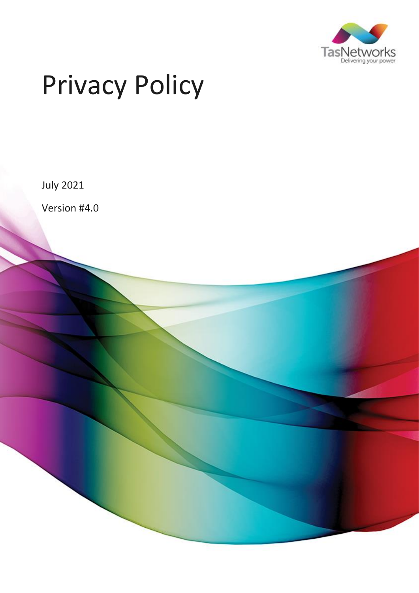

# Privacy Policy

July 2021

Version #4.0

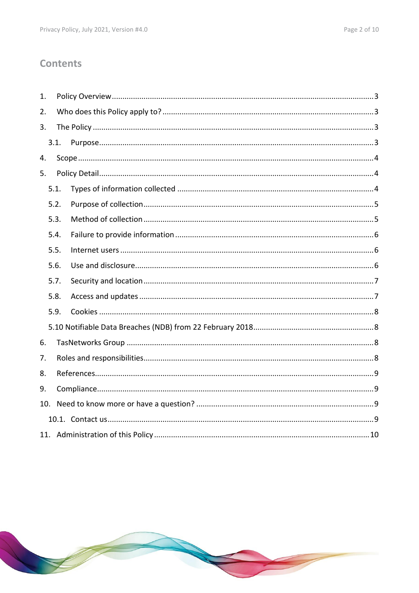# **Contents**

| 1. |      |  |  |  |  |  |  |  |
|----|------|--|--|--|--|--|--|--|
| 2. |      |  |  |  |  |  |  |  |
| 3. |      |  |  |  |  |  |  |  |
|    | 3.1. |  |  |  |  |  |  |  |
| 4. |      |  |  |  |  |  |  |  |
| 5. |      |  |  |  |  |  |  |  |
|    | 5.1. |  |  |  |  |  |  |  |
|    | 5.2. |  |  |  |  |  |  |  |
|    | 5.3. |  |  |  |  |  |  |  |
|    | 5.4. |  |  |  |  |  |  |  |
|    | 5.5. |  |  |  |  |  |  |  |
|    | 5.6. |  |  |  |  |  |  |  |
|    | 5.7. |  |  |  |  |  |  |  |
|    | 5.8. |  |  |  |  |  |  |  |
|    | 5.9. |  |  |  |  |  |  |  |
|    |      |  |  |  |  |  |  |  |
| 6. |      |  |  |  |  |  |  |  |
| 7. |      |  |  |  |  |  |  |  |
| 8. |      |  |  |  |  |  |  |  |
| 9. |      |  |  |  |  |  |  |  |
|    |      |  |  |  |  |  |  |  |
|    |      |  |  |  |  |  |  |  |
|    |      |  |  |  |  |  |  |  |

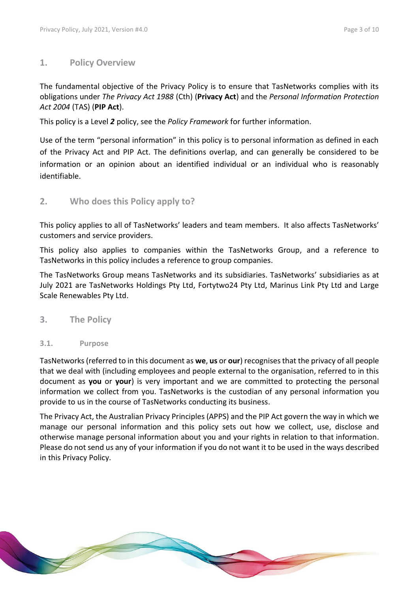#### <span id="page-2-0"></span>**1. Policy Overview**

The fundamental objective of the Privacy Policy is to ensure that TasNetworks complies with its obligations under *The Privacy Act 1988* (Cth) (**Privacy Act**) and the *Personal Information Protection Act 2004* (TAS) (**PIP Act**).

This policy is a Level *2* policy, see the *Policy Framework* for further information.

Use of the term "personal information" in this policy is to personal information as defined in each of the Privacy Act and PIP Act. The definitions overlap, and can generally be considered to be information or an opinion about an identified individual or an individual who is reasonably identifiable.

<span id="page-2-1"></span>**2. Who does this Policy apply to?**

This policy applies to all of TasNetworks' leaders and team members. It also affects TasNetworks' customers and service providers.

This policy also applies to companies within the TasNetworks Group, and a reference to TasNetworks in this policy includes a reference to group companies.

The TasNetworks Group means TasNetworks and its subsidiaries. TasNetworks' subsidiaries as at July 2021 are TasNetworks Holdings Pty Ltd, Fortytwo24 Pty Ltd, Marinus Link Pty Ltd and Large Scale Renewables Pty Ltd.

- <span id="page-2-2"></span>**3. The Policy**
- <span id="page-2-3"></span>**3.1. Purpose**

TasNetworks(referred to in this document as **we**, **us** or **our**) recognises that the privacy of all people that we deal with (including employees and people external to the organisation, referred to in this document as **you** or **your**) is very important and we are committed to protecting the personal information we collect from you. TasNetworks is the custodian of any personal information you provide to us in the course of TasNetworks conducting its business.

The Privacy Act, the Australian Privacy Principles (APPS) and the PIP Act govern the way in which we manage our personal information and this policy sets out how we collect, use, disclose and otherwise manage personal information about you and your rights in relation to that information. Please do not send us any of your information if you do not want it to be used in the ways described in this Privacy Policy.

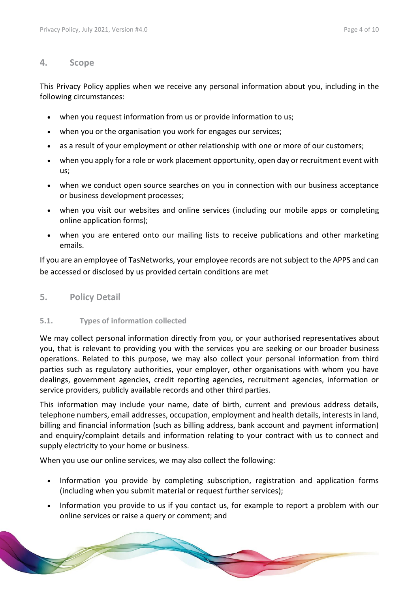#### <span id="page-3-0"></span>**4. Scope**

This Privacy Policy applies when we receive any personal information about you, including in the following circumstances:

- when you request information from us or provide information to us;
- when you or the organisation you work for engages our services;
- as a result of your employment or other relationship with one or more of our customers;
- when you apply for a role or work placement opportunity, open day or recruitment event with us;
- when we conduct open source searches on you in connection with our business acceptance or business development processes;
- when you visit our websites and online services (including our mobile apps or completing online application forms);
- when you are entered onto our mailing lists to receive publications and other marketing emails.

If you are an employee of TasNetworks, your employee records are not subject to the APPS and can be accessed or disclosed by us provided certain conditions are met

### <span id="page-3-1"></span>**5. Policy Detail**

#### <span id="page-3-2"></span>**5.1. Types of information collected**

We may collect personal information directly from you, or your authorised representatives about you, that is relevant to providing you with the services you are seeking or our broader business operations. Related to this purpose, we may also collect your personal information from third parties such as regulatory authorities, your employer, other organisations with whom you have dealings, government agencies, credit reporting agencies, recruitment agencies, information or service providers, publicly available records and other third parties.

This information may include your name, date of birth, current and previous address details, telephone numbers, email addresses, occupation, employment and health details, interests in land, billing and financial information (such as billing address, bank account and payment information) and enquiry/complaint details and information relating to your contract with us to connect and supply electricity to your home or business.

When you use our online services, we may also collect the following:

- Information you provide by completing subscription, registration and application forms (including when you submit material or request further services);
- Information you provide to us if you contact us, for example to report a problem with our online services or raise a query or comment; and

**Contract on the Contract of The Contract of The Contract of The Contract of The Contract of The Contract of The Contract of The Contract of The Contract of The Contract of The Contract of The Contract of The Contract of T**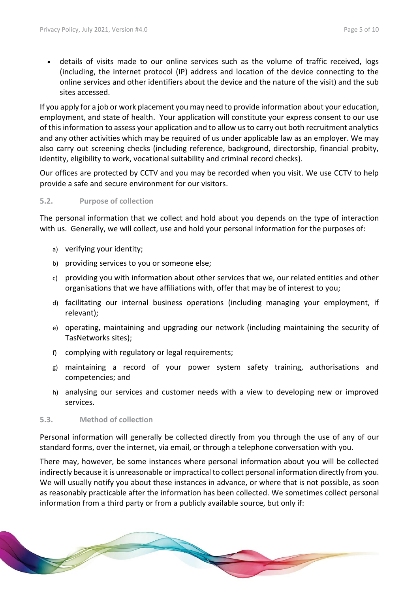details of visits made to our online services such as the volume of traffic received, logs (including, the internet protocol (IP) address and location of the device connecting to the online services and other identifiers about the device and the nature of the visit) and the sub sites accessed.

If you apply for a job or work placement you may need to provide information about your education, employment, and state of health. Your application will constitute your express consent to our use of this information to assess your application and to allow us to carry out both recruitment analytics and any other activities which may be required of us under applicable law as an employer. We may also carry out screening checks (including reference, background, directorship, financial probity, identity, eligibility to work, vocational suitability and criminal record checks).

Our offices are protected by CCTV and you may be recorded when you visit. We use CCTV to help provide a safe and secure environment for our visitors.

#### <span id="page-4-0"></span>**5.2. Purpose of collection**

The personal information that we collect and hold about you depends on the type of interaction with us. Generally, we will collect, use and hold your personal information for the purposes of:

- a) verifying your identity;
- b) providing services to you or someone else;
- c) providing you with information about other services that we, our related entities and other organisations that we have affiliations with, offer that may be of interest to you;
- d) facilitating our internal business operations (including managing your employment, if relevant);
- e) operating, maintaining and upgrading our network (including maintaining the security of TasNetworks sites);
- f) complying with regulatory or legal requirements;
- g) maintaining a record of your power system safety training, authorisations and competencies; and
- h) analysing our services and customer needs with a view to developing new or improved services.

#### <span id="page-4-1"></span>**5.3. Method of collection**

Personal information will generally be collected directly from you through the use of any of our standard forms, over the internet, via email, or through a telephone conversation with you.

There may, however, be some instances where personal information about you will be collected indirectly because it is unreasonable or impractical to collect personal information directly from you. We will usually notify you about these instances in advance, or where that is not possible, as soon as reasonably practicable after the information has been collected. We sometimes collect personal information from a third party or from a publicly available source, but only if:

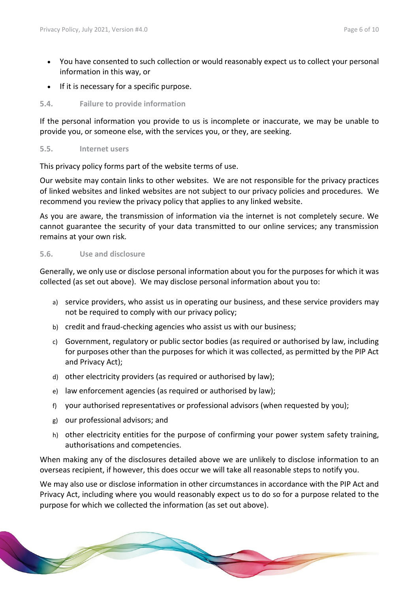- You have consented to such collection or would reasonably expect us to collect your personal information in this way, or
- If it is necessary for a specific purpose.

#### <span id="page-5-0"></span>**5.4. Failure to provide information**

If the personal information you provide to us is incomplete or inaccurate, we may be unable to provide you, or someone else, with the services you, or they, are seeking.

#### <span id="page-5-1"></span>**5.5. Internet users**

This privacy policy forms part of the website terms of use.

Our website may contain links to other websites. We are not responsible for the privacy practices of linked websites and linked websites are not subject to our privacy policies and procedures. We recommend you review the privacy policy that applies to any linked website.

As you are aware, the transmission of information via the internet is not completely secure. We cannot guarantee the security of your data transmitted to our online services; any transmission remains at your own risk.

#### <span id="page-5-2"></span>**5.6. Use and disclosure**

Generally, we only use or disclose personal information about you for the purposes for which it was collected (as set out above). We may disclose personal information about you to:

- a) service providers, who assist us in operating our business, and these service providers may not be required to comply with our privacy policy;
- b) credit and fraud-checking agencies who assist us with our business;
- c) Government, regulatory or public sector bodies (as required or authorised by law, including for purposes other than the purposes for which it was collected, as permitted by the PIP Act and Privacy Act);
- d) other electricity providers (as required or authorised by law);
- e) law enforcement agencies (as required or authorised by law);
- f) your authorised representatives or professional advisors (when requested by you);
- g) our professional advisors; and
- h) other electricity entities for the purpose of confirming your power system safety training, authorisations and competencies.

When making any of the disclosures detailed above we are unlikely to disclose information to an overseas recipient, if however, this does occur we will take all reasonable steps to notify you.

We may also use or disclose information in other circumstances in accordance with the PIP Act and Privacy Act, including where you would reasonably expect us to do so for a purpose related to the purpose for which we collected the information (as set out above).

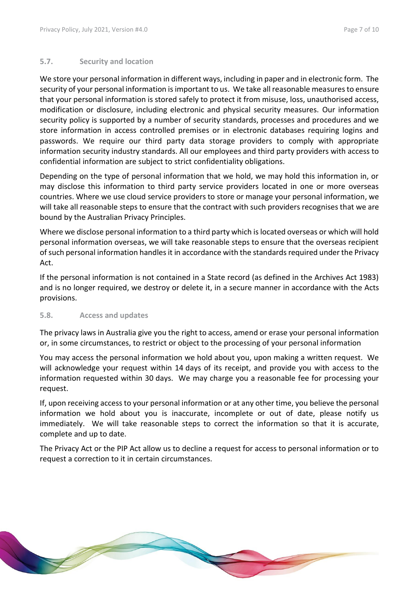#### <span id="page-6-0"></span>**5.7. Security and location**

We store your personal information in different ways, including in paper and in electronic form. The security of your personal information is important to us. We take all reasonable measures to ensure that your personal information is stored safely to protect it from misuse, loss, unauthorised access, modification or disclosure, including electronic and physical security measures. Our information security policy is supported by a number of security standards, processes and procedures and we store information in access controlled premises or in electronic databases requiring logins and passwords. We require our third party data storage providers to comply with appropriate information security industry standards. All our employees and third party providers with access to confidential information are subject to strict confidentiality obligations.

Depending on the type of personal information that we hold, we may hold this information in, or may disclose this information to third party service providers located in one or more overseas countries. Where we use cloud service providers to store or manage your personal information, we will take all reasonable steps to ensure that the contract with such providers recognises that we are bound by the Australian Privacy Principles.

Where we disclose personal information to a third party which is located overseas or which will hold personal information overseas, we will take reasonable steps to ensure that the overseas recipient of such personal information handles it in accordance with the standards required under the Privacy Act.

If the personal information is not contained in a State record (as defined in the Archives Act 1983) and is no longer required, we destroy or delete it, in a secure manner in accordance with the Acts provisions.

#### <span id="page-6-1"></span>**5.8. Access and updates**

The privacy laws in Australia give you the right to access, amend or erase your personal information or, in some circumstances, to restrict or object to the processing of your personal information

You may access the personal information we hold about you, upon making a written request. We will acknowledge your request within 14 days of its receipt, and provide you with access to the information requested within 30 days. We may charge you a reasonable fee for processing your request.

If, upon receiving access to your personal information or at any other time, you believe the personal information we hold about you is inaccurate, incomplete or out of date, please notify us immediately. We will take reasonable steps to correct the information so that it is accurate, complete and up to date.

The Privacy Act or the PIP Act allow us to decline a request for access to personal information or to request a correction to it in certain circumstances.

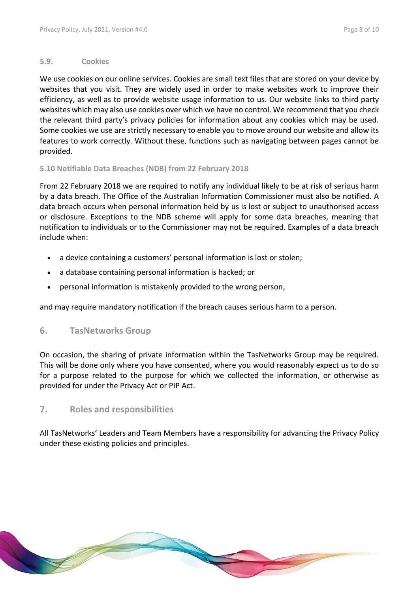#### <span id="page-7-0"></span>**5.9. Cookies**

We use cookies on our online services. Cookies are small text files that are stored on your device by websites that you visit. They are widely used in order to make websites work to improve their efficiency, as well as to provide website usage information to us. Our website links to third party websites which may also use cookies over which we have no control. We recommend that you check the relevant third party's privacy policies for information about any cookies which may be used. Some cookies we use are strictly necessary to enable you to move around our website and allow its features to work correctly. Without these, functions such as navigating between pages cannot be provided.

#### <span id="page-7-1"></span>**5.10 Notifiable Data Breaches (NDB) from 22 February 2018**

From 22 February 2018 we are required to notify any individual likely to be at risk of serious harm by a data breach. The Office of the Australian Information Commissioner must also be notified. A data breach occurs when personal information held by us is lost or subject to unauthorised access or disclosure. Exceptions to the NDB scheme will apply for some data breaches, meaning that notification to individuals or to the Commissioner may not be required. Examples of a data breach include when:

- a device containing a customers' personal information is lost or stolen;
- a database containing personal information is hacked; or
- personal information is mistakenly provided to the wrong person,

and may require mandatory notification if the breach causes serious harm to a person.

#### <span id="page-7-2"></span>**6. TasNetworks Group**

On occasion, the sharing of private information within the TasNetworks Group may be required. This will be done only where you have consented, where you would reasonably expect us to do so for a purpose related to the purpose for which we collected the information, or otherwise as provided for under the Privacy Act or PIP Act.

#### <span id="page-7-3"></span>**7. Roles and responsibilities**

All TasNetworks' Leaders and Team Members have a responsibility for advancing the Privacy Policy under these existing policies and principles.

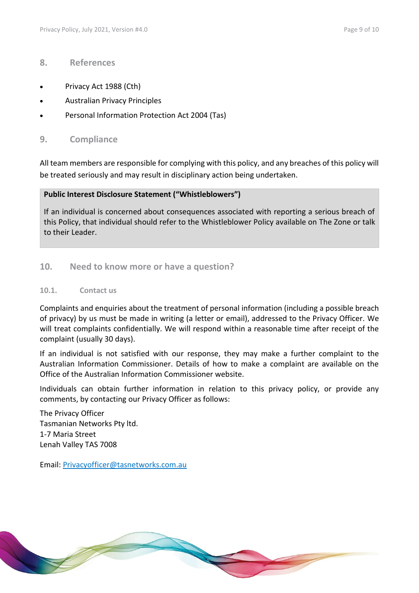#### <span id="page-8-0"></span>**8. References**

- Privacy Act 1988 (Cth)
- Australian Privacy Principles
- <span id="page-8-1"></span>Personal Information Protection Act 2004 (Tas)

#### **9. Compliance**

All team members are responsible for complying with this policy, and any breaches of this policy will be treated seriously and may result in disciplinary action being undertaken.

#### **Public Interest Disclosure Statement ("Whistleblowers")**

If an individual is concerned about consequences associated with reporting a serious breach of this Policy, that individual should refer to the Whistleblower Policy available on The Zone or talk to their Leader.

#### <span id="page-8-2"></span>**10. Need to know more or have a question?**

#### <span id="page-8-3"></span>**10.1. Contact us**

Complaints and enquiries about the treatment of personal information (including a possible breach of privacy) by us must be made in writing (a letter or email), addressed to the Privacy Officer. We will treat complaints confidentially. We will respond within a reasonable time after receipt of the complaint (usually 30 days).

If an individual is not satisfied with our response, they may make a further complaint to the Australian Information Commissioner. Details of how to make a complaint are available on the [Office of the Australian Information Commissioner website.](http://www.oaic.gov.au/privacy/making-a-privacy-complaint)

Individuals can obtain further information in relation to this privacy policy, or provide any comments, by contacting our Privacy Officer as follows:

**Contract on the Contract of The Contract of The Contract of The Contract of The Contract of The Contract of The Contract of The Contract of The Contract of The Contract of The Contract of The Contract of The Contract of T** 

The Privacy Officer Tasmanian Networks Pty ltd. 1-7 Maria Street Lenah Valley TAS 7008

Email: [Privacyofficer@tasnetworks.com.au](mailto:Privacyofficer@tasnetworks.com.au)